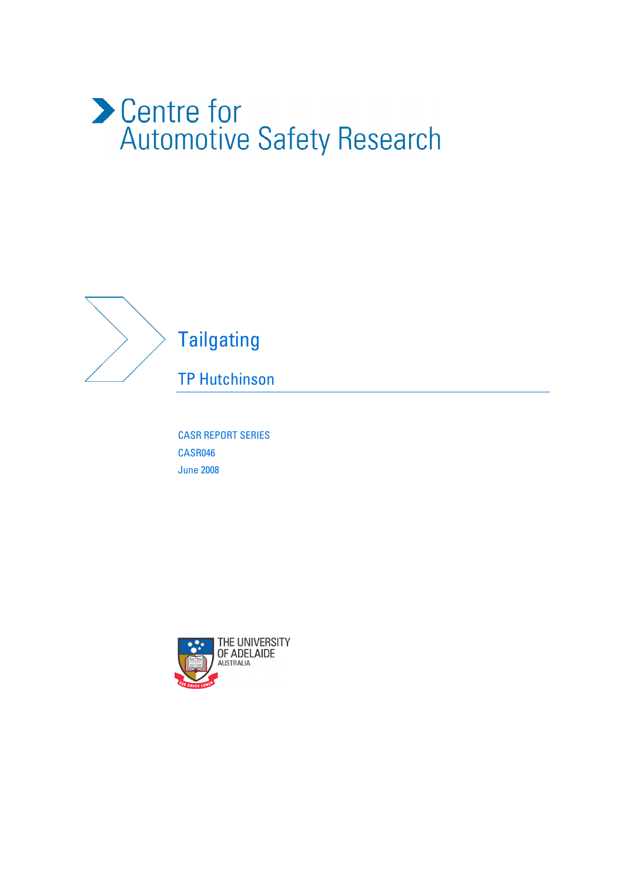# Centre for<br>Automotive Safety Research



# **Tailgating**

TP Hutchinson

CASR REPORT SERIES CASR046 June 2008

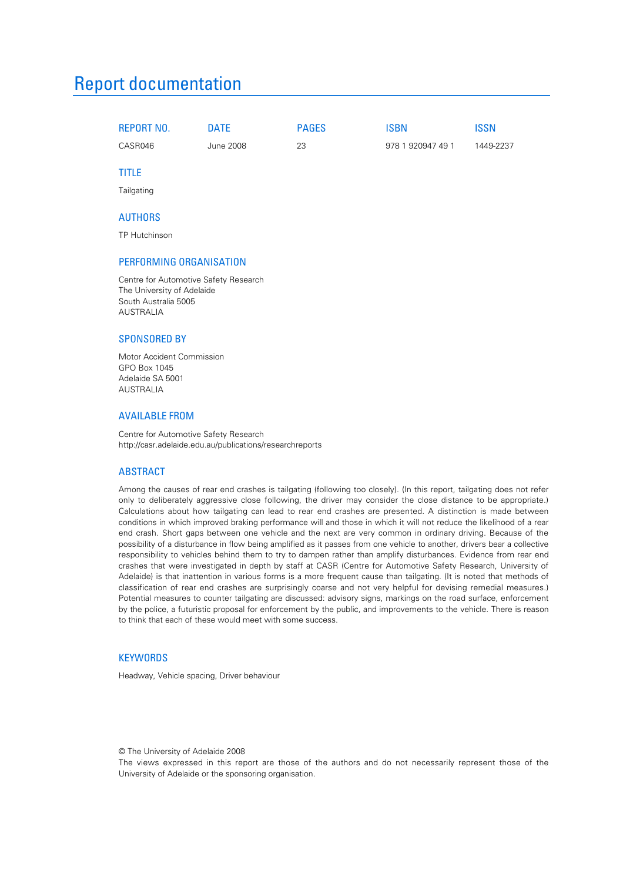## Report documentation

| REPORT NO. | ገATE      | <b>PAGES</b> | ISBN              | <b>ISSN</b> |
|------------|-----------|--------------|-------------------|-------------|
| CASR046    | June 2008 | 23           | 978 1 920947 49 1 | 1449-2237   |

#### TITLE

**Tailgating** 

#### AUTHORS

TP Hutchinson

#### PERFORMING ORGANISATION

Centre for Automotive Safety Research The University of Adelaide South Australia 5005 AUSTRALIA

#### SPONSORED BY

Motor Accident Commission GPO Box 1045 Adelaide SA 5001 AUSTRALIA

#### AVAILABLE FROM

Centre for Automotive Safety Research http://casr.adelaide.edu.au/publications/researchreports

#### ABSTRACT

Among the causes of rear end crashes is tailgating (following too closely). (In this report, tailgating does not refer only to deliberately aggressive close following, the driver may consider the close distance to be appropriate.) Calculations about how tailgating can lead to rear end crashes are presented. A distinction is made between conditions in which improved braking performance will and those in which it will not reduce the likelihood of a rear end crash. Short gaps between one vehicle and the next are very common in ordinary driving. Because of the possibility of a disturbance in flow being amplified as it passes from one vehicle to another, drivers bear a collective responsibility to vehicles behind them to try to dampen rather than amplify disturbances. Evidence from rear end crashes that were investigated in depth by staff at CASR (Centre for Automotive Safety Research, University of Adelaide) is that inattention in various forms is a more frequent cause than tailgating. (It is noted that methods of classification of rear end crashes are surprisingly coarse and not very helpful for devising remedial measures.) Potential measures to counter tailgating are discussed: advisory signs, markings on the road surface, enforcement by the police, a futuristic proposal for enforcement by the public, and improvements to the vehicle. There is reason to think that each of these would meet with some success.

#### **KEYWORDS**

Headway, Vehicle spacing, Driver behaviour

#### © The University of Adelaide 2008

The views expressed in this report are those of the authors and do not necessarily represent those of the University of Adelaide or the sponsoring organisation.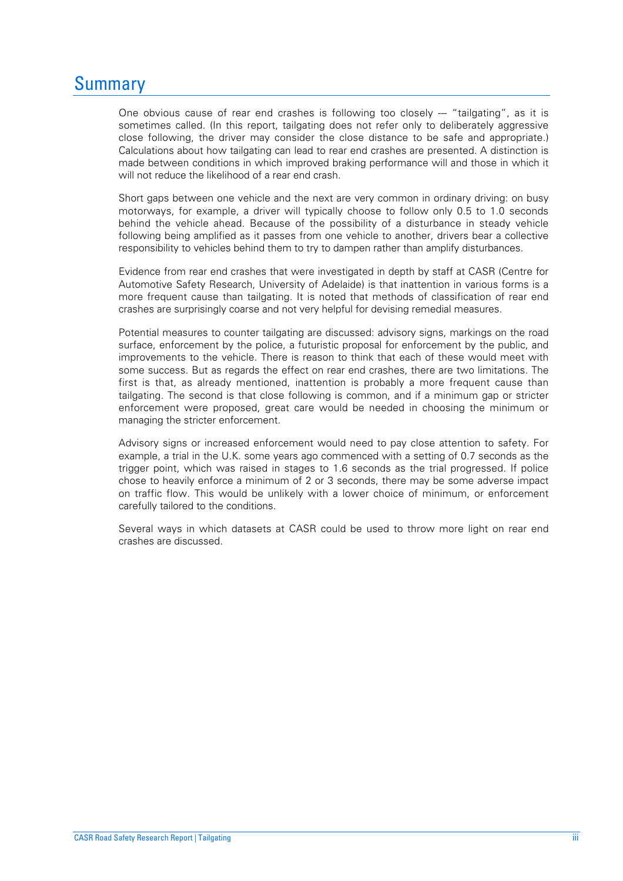## Summary

One obvious cause of rear end crashes is following too closely --- "tailgating", as it is sometimes called. (In this report, tailgating does not refer only to deliberately aggressive close following, the driver may consider the close distance to be safe and appropriate.) Calculations about how tailgating can lead to rear end crashes are presented. A distinction is made between conditions in which improved braking performance will and those in which it will not reduce the likelihood of a rear end crash.

Short gaps between one vehicle and the next are very common in ordinary driving: on busy motorways, for example, a driver will typically choose to follow only 0.5 to 1.0 seconds behind the vehicle ahead. Because of the possibility of a disturbance in steady vehicle following being amplified as it passes from one vehicle to another, drivers bear a collective responsibility to vehicles behind them to try to dampen rather than amplify disturbances.

Evidence from rear end crashes that were investigated in depth by staff at CASR (Centre for Automotive Safety Research, University of Adelaide) is that inattention in various forms is a more frequent cause than tailgating. It is noted that methods of classification of rear end crashes are surprisingly coarse and not very helpful for devising remedial measures.

Potential measures to counter tailgating are discussed: advisory signs, markings on the road surface, enforcement by the police, a futuristic proposal for enforcement by the public, and improvements to the vehicle. There is reason to think that each of these would meet with some success. But as regards the effect on rear end crashes, there are two limitations. The first is that, as already mentioned, inattention is probably a more frequent cause than tailgating. The second is that close following is common, and if a minimum gap or stricter enforcement were proposed, great care would be needed in choosing the minimum or managing the stricter enforcement.

Advisory signs or increased enforcement would need to pay close attention to safety. For example, a trial in the U.K. some years ago commenced with a setting of 0.7 seconds as the trigger point, which was raised in stages to 1.6 seconds as the trial progressed. If police chose to heavily enforce a minimum of 2 or 3 seconds, there may be some adverse impact on traffic flow. This would be unlikely with a lower choice of minimum, or enforcement carefully tailored to the conditions.

Several ways in which datasets at CASR could be used to throw more light on rear end crashes are discussed.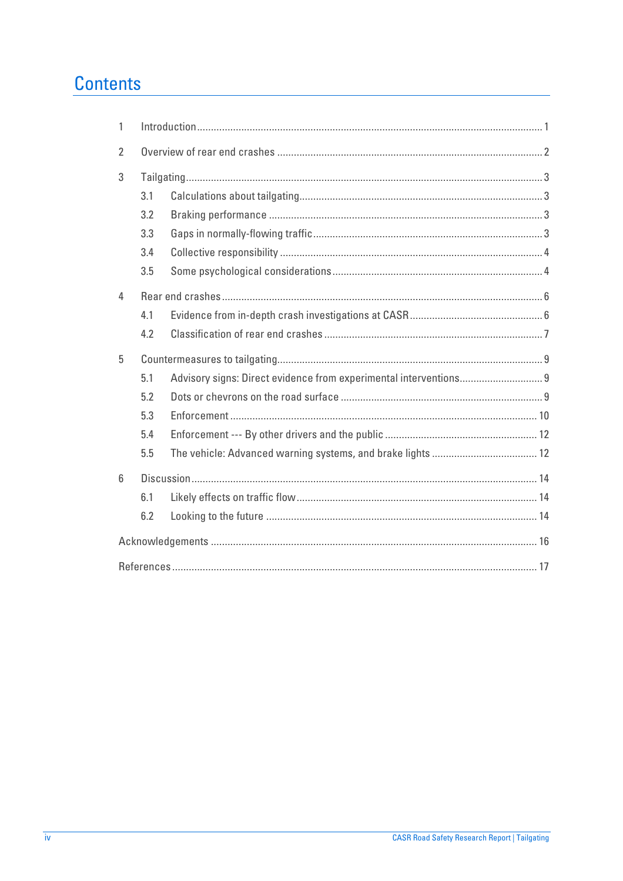# **Contents**

| 1               |     |  |  |  |  |
|-----------------|-----|--|--|--|--|
| $\overline{2}$  |     |  |  |  |  |
| 3               |     |  |  |  |  |
|                 | 3.1 |  |  |  |  |
|                 | 3.2 |  |  |  |  |
|                 | 3.3 |  |  |  |  |
|                 | 3.4 |  |  |  |  |
|                 | 3.5 |  |  |  |  |
| 4               |     |  |  |  |  |
|                 | 4.1 |  |  |  |  |
|                 | 4.2 |  |  |  |  |
| 5               |     |  |  |  |  |
|                 |     |  |  |  |  |
|                 | 5.1 |  |  |  |  |
|                 | 5.2 |  |  |  |  |
|                 | 5.3 |  |  |  |  |
|                 | 5.4 |  |  |  |  |
|                 | 5.5 |  |  |  |  |
| $6\overline{6}$ |     |  |  |  |  |
|                 | 6.1 |  |  |  |  |
|                 | 6.2 |  |  |  |  |
|                 |     |  |  |  |  |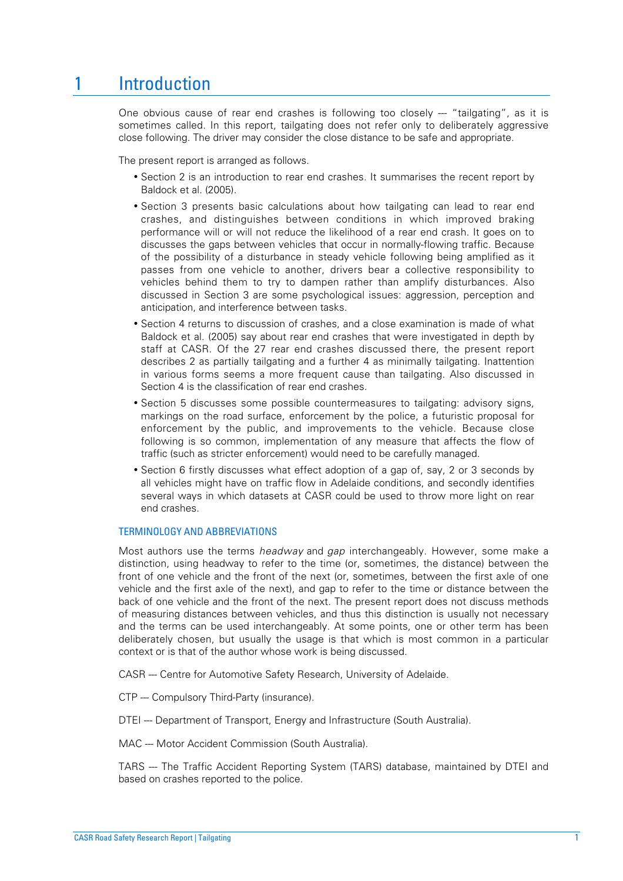# 1 Introduction

One obvious cause of rear end crashes is following too closely --- "tailgating", as it is sometimes called. In this report, tailgating does not refer only to deliberately aggressive close following. The driver may consider the close distance to be safe and appropriate.

The present report is arranged as follows.

- Section 2 is an introduction to rear end crashes. It summarises the recent report by Baldock et al. (2005).
- Section 3 presents basic calculations about how tailgating can lead to rear end crashes, and distinguishes between conditions in which improved braking performance will or will not reduce the likelihood of a rear end crash. It goes on to discusses the gaps between vehicles that occur in normally-flowing traffic. Because of the possibility of a disturbance in steady vehicle following being amplified as it passes from one vehicle to another, drivers bear a collective responsibility to vehicles behind them to try to dampen rather than amplify disturbances. Also discussed in Section 3 are some psychological issues: aggression, perception and anticipation, and interference between tasks.
- Section 4 returns to discussion of crashes, and a close examination is made of what Baldock et al. (2005) say about rear end crashes that were investigated in depth by staff at CASR. Of the 27 rear end crashes discussed there, the present report describes 2 as partially tailgating and a further 4 as minimally tailgating. Inattention in various forms seems a more frequent cause than tailgating. Also discussed in Section 4 is the classification of rear end crashes.
- Section 5 discusses some possible countermeasures to tailgating: advisory signs, markings on the road surface, enforcement by the police, a futuristic proposal for enforcement by the public, and improvements to the vehicle. Because close following is so common, implementation of any measure that affects the flow of traffic (such as stricter enforcement) would need to be carefully managed.
- Section 6 firstly discusses what effect adoption of a gap of, say, 2 or 3 seconds by all vehicles might have on traffic flow in Adelaide conditions, and secondly identifies several ways in which datasets at CASR could be used to throw more light on rear end crashes.

#### TERMINOLOGY AND ABBREVIATIONS

Most authors use the terms *headway* and *gap* interchangeably. However, some make a distinction, using headway to refer to the time (or, sometimes, the distance) between the front of one vehicle and the front of the next (or, sometimes, between the first axle of one vehicle and the first axle of the next), and gap to refer to the time or distance between the back of one vehicle and the front of the next. The present report does not discuss methods of measuring distances between vehicles, and thus this distinction is usually not necessary and the terms can be used interchangeably. At some points, one or other term has been deliberately chosen, but usually the usage is that which is most common in a particular context or is that of the author whose work is being discussed.

CASR --- Centre for Automotive Safety Research, University of Adelaide.

CTP --- Compulsory Third-Party (insurance).

DTEI --- Department of Transport, Energy and Infrastructure (South Australia).

MAC --- Motor Accident Commission (South Australia).

TARS --- The Traffic Accident Reporting System (TARS) database, maintained by DTEI and based on crashes reported to the police.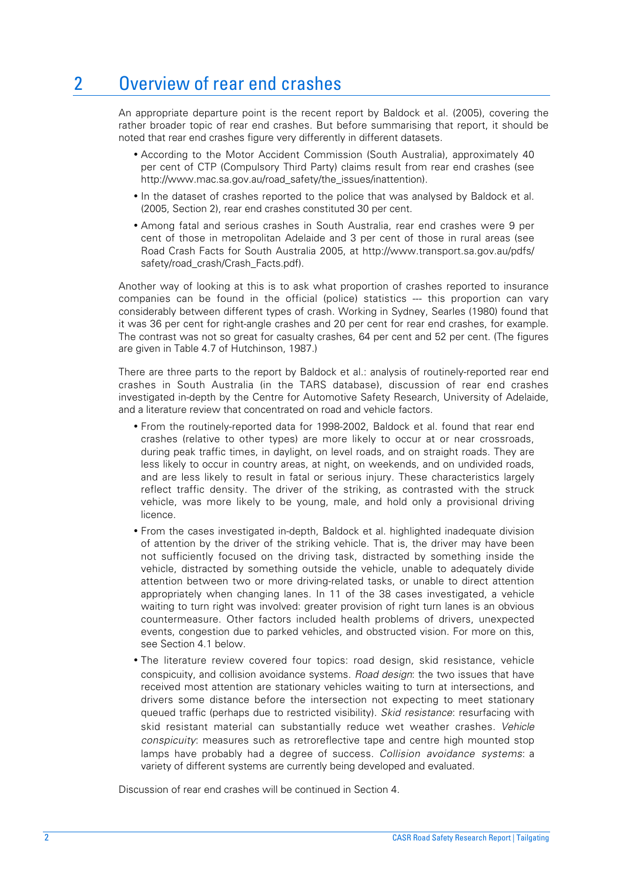# 2 Overview of rear end crashes

An appropriate departure point is the recent report by Baldock et al. (2005), covering the rather broader topic of rear end crashes. But before summarising that report, it should be noted that rear end crashes figure very differently in different datasets.

- According to the Motor Accident Commission (South Australia), approximately 40 per cent of CTP (Compulsory Third Party) claims result from rear end crashes (see http://www.mac.sa.gov.au/road\_safety/the\_issues/inattention).
- In the dataset of crashes reported to the police that was analysed by Baldock et al. (2005, Section 2), rear end crashes constituted 30 per cent.
- Among fatal and serious crashes in South Australia, rear end crashes were 9 per cent of those in metropolitan Adelaide and 3 per cent of those in rural areas (see Road Crash Facts for South Australia 2005, at http://www.transport.sa.gov.au/pdfs/ safety/road\_crash/Crash\_Facts.pdf).

Another way of looking at this is to ask what proportion of crashes reported to insurance companies can be found in the official (police) statistics --- this proportion can vary considerably between different types of crash. Working in Sydney, Searles (1980) found that it was 36 per cent for right-angle crashes and 20 per cent for rear end crashes, for example. The contrast was not so great for casualty crashes, 64 per cent and 52 per cent. (The figures are given in Table 4.7 of Hutchinson, 1987.)

There are three parts to the report by Baldock et al.: analysis of routinely-reported rear end crashes in South Australia (in the TARS database), discussion of rear end crashes investigated in-depth by the Centre for Automotive Safety Research, University of Adelaide, and a literature review that concentrated on road and vehicle factors.

- From the routinely-reported data for 1998-2002, Baldock et al. found that rear end crashes (relative to other types) are more likely to occur at or near crossroads, during peak traffic times, in daylight, on level roads, and on straight roads. They are less likely to occur in country areas, at night, on weekends, and on undivided roads, and are less likely to result in fatal or serious injury. These characteristics largely reflect traffic density. The driver of the striking, as contrasted with the struck vehicle, was more likely to be young, male, and hold only a provisional driving licence.
- From the cases investigated in-depth, Baldock et al. highlighted inadequate division of attention by the driver of the striking vehicle. That is, the driver may have been not sufficiently focused on the driving task, distracted by something inside the vehicle, distracted by something outside the vehicle, unable to adequately divide attention between two or more driving-related tasks, or unable to direct attention appropriately when changing lanes. In 11 of the 38 cases investigated, a vehicle waiting to turn right was involved: greater provision of right turn lanes is an obvious countermeasure. Other factors included health problems of drivers, unexpected events, congestion due to parked vehicles, and obstructed vision. For more on this, see Section 4.1 below.
- The literature review covered four topics: road design, skid resistance, vehicle conspicuity, and collision avoidance systems. *Road design*: the two issues that have received most attention are stationary vehicles waiting to turn at intersections, and drivers some distance before the intersection not expecting to meet stationary queued traffic (perhaps due to restricted visibility). *Skid resistance*: resurfacing with skid resistant material can substantially reduce wet weather crashes. *Vehicle conspicuity*: measures such as retroreflective tape and centre high mounted stop lamps have probably had a degree of success. *Collision avoidance systems*: a variety of different systems are currently being developed and evaluated.

Discussion of rear end crashes will be continued in Section 4.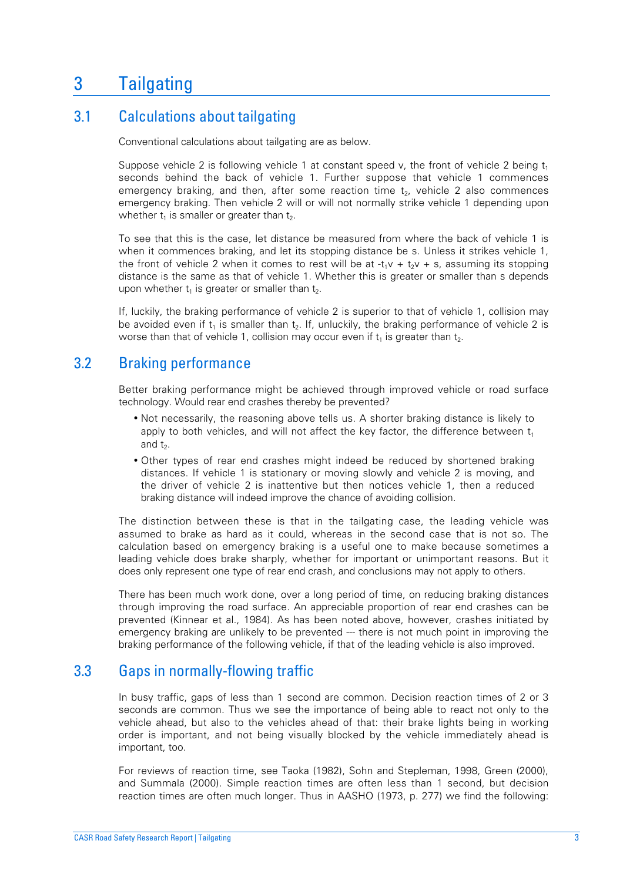# 3 Tailgating

## 3.1 Calculations about tailgating

Conventional calculations about tailgating are as below.

Suppose vehicle 2 is following vehicle 1 at constant speed v, the front of vehicle 2 being  $t_1$ seconds behind the back of vehicle 1. Further suppose that vehicle 1 commences emergency braking, and then, after some reaction time t<sub>2</sub>, vehicle 2 also commences emergency braking. Then vehicle 2 will or will not normally strike vehicle 1 depending upon whether  $t_1$  is smaller or greater than  $t_2$ .

To see that this is the case, let distance be measured from where the back of vehicle 1 is when it commences braking, and let its stopping distance be s. Unless it strikes vehicle 1, the front of vehicle 2 when it comes to rest will be at  $-t_1v + t_2v + s$ , assuming its stopping distance is the same as that of vehicle 1. Whether this is greater or smaller than s depends upon whether  $t_1$  is greater or smaller than  $t_2$ .

If, luckily, the braking performance of vehicle 2 is superior to that of vehicle 1, collision may be avoided even if  $t_1$  is smaller than  $t_2$ . If, unluckily, the braking performance of vehicle 2 is worse than that of vehicle 1, collision may occur even if  $t_1$  is greater than  $t_2$ .

## 3.2 Braking performance

Better braking performance might be achieved through improved vehicle or road surface technology. Would rear end crashes thereby be prevented?

- Not necessarily, the reasoning above tells us. A shorter braking distance is likely to apply to both vehicles, and will not affect the key factor, the difference between  $t_1$ and  $t<sub>2</sub>$ .
- Other types of rear end crashes might indeed be reduced by shortened braking distances. If vehicle 1 is stationary or moving slowly and vehicle 2 is moving, and the driver of vehicle 2 is inattentive but then notices vehicle 1, then a reduced braking distance will indeed improve the chance of avoiding collision.

The distinction between these is that in the tailgating case, the leading vehicle was assumed to brake as hard as it could, whereas in the second case that is not so. The calculation based on emergency braking is a useful one to make because sometimes a leading vehicle does brake sharply, whether for important or unimportant reasons. But it does only represent one type of rear end crash, and conclusions may not apply to others.

There has been much work done, over a long period of time, on reducing braking distances through improving the road surface. An appreciable proportion of rear end crashes can be prevented (Kinnear et al., 1984). As has been noted above, however, crashes initiated by emergency braking are unlikely to be prevented --- there is not much point in improving the braking performance of the following vehicle, if that of the leading vehicle is also improved.

## 3.3 Gaps in normally-flowing traffic

In busy traffic, gaps of less than 1 second are common. Decision reaction times of 2 or 3 seconds are common. Thus we see the importance of being able to react not only to the vehicle ahead, but also to the vehicles ahead of that: their brake lights being in working order is important, and not being visually blocked by the vehicle immediately ahead is important, too.

For reviews of reaction time, see Taoka (1982), Sohn and Stepleman, 1998, Green (2000), and Summala (2000). Simple reaction times are often less than 1 second, but decision reaction times are often much longer. Thus in AASHO (1973, p. 277) we find the following: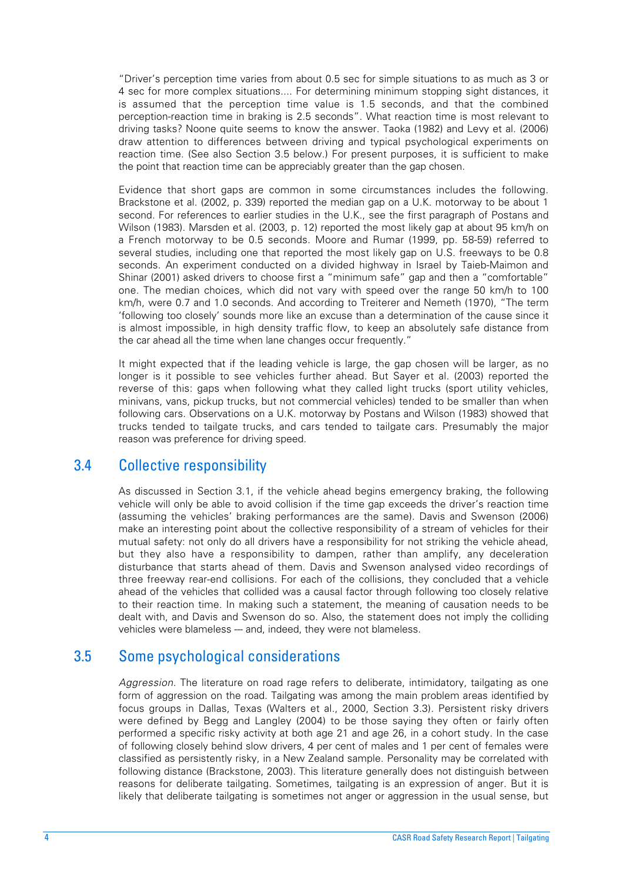"Driver's perception time varies from about 0.5 sec for simple situations to as much as 3 or 4 sec for more complex situations.... For determining minimum stopping sight distances, it is assumed that the perception time value is 1.5 seconds, and that the combined perception-reaction time in braking is 2.5 seconds". What reaction time is most relevant to driving tasks? Noone quite seems to know the answer. Taoka (1982) and Levy et al. (2006) draw attention to differences between driving and typical psychological experiments on reaction time. (See also Section 3.5 below.) For present purposes, it is sufficient to make the point that reaction time can be appreciably greater than the gap chosen.

Evidence that short gaps are common in some circumstances includes the following. Brackstone et al. (2002, p. 339) reported the median gap on a U.K. motorway to be about 1 second. For references to earlier studies in the U.K., see the first paragraph of Postans and Wilson (1983). Marsden et al. (2003, p. 12) reported the most likely gap at about 95 km/h on a French motorway to be 0.5 seconds. Moore and Rumar (1999, pp. 58-59) referred to several studies, including one that reported the most likely gap on U.S. freeways to be 0.8 seconds. An experiment conducted on a divided highway in Israel by Taieb-Maimon and Shinar (2001) asked drivers to choose first a "minimum safe" gap and then a "comfortable" one. The median choices, which did not vary with speed over the range 50 km/h to 100 km/h, were 0.7 and 1.0 seconds. And according to Treiterer and Nemeth (1970), "The term 'following too closely' sounds more like an excuse than a determination of the cause since it is almost impossible, in high density traffic flow, to keep an absolutely safe distance from the car ahead all the time when lane changes occur frequently."

It might expected that if the leading vehicle is large, the gap chosen will be larger, as no longer is it possible to see vehicles further ahead. But Sayer et al. (2003) reported the reverse of this: gaps when following what they called light trucks (sport utility vehicles, minivans, vans, pickup trucks, but not commercial vehicles) tended to be smaller than when following cars. Observations on a U.K. motorway by Postans and Wilson (1983) showed that trucks tended to tailgate trucks, and cars tended to tailgate cars. Presumably the major reason was preference for driving speed.

#### 3.4 Collective responsibility

As discussed in Section 3.1, if the vehicle ahead begins emergency braking, the following vehicle will only be able to avoid collision if the time gap exceeds the driver's reaction time (assuming the vehicles' braking performances are the same). Davis and Swenson (2006) make an interesting point about the collective responsibility of a stream of vehicles for their mutual safety: not only do all drivers have a responsibility for not striking the vehicle ahead, but they also have a responsibility to dampen, rather than amplify, any deceleration disturbance that starts ahead of them. Davis and Swenson analysed video recordings of three freeway rear-end collisions. For each of the collisions, they concluded that a vehicle ahead of the vehicles that collided was a causal factor through following too closely relative to their reaction time. In making such a statement, the meaning of causation needs to be dealt with, and Davis and Swenson do so. Also, the statement does not imply the colliding vehicles were blameless --- and, indeed, they were not blameless.

## 3.5 Some psychological considerations

*Aggression*. The literature on road rage refers to deliberate, intimidatory, tailgating as one form of aggression on the road. Tailgating was among the main problem areas identified by focus groups in Dallas, Texas (Walters et al., 2000, Section 3.3). Persistent risky drivers were defined by Begg and Langley (2004) to be those saying they often or fairly often performed a specific risky activity at both age 21 and age 26, in a cohort study. In the case of following closely behind slow drivers, 4 per cent of males and 1 per cent of females were classified as persistently risky, in a New Zealand sample. Personality may be correlated with following distance (Brackstone, 2003). This literature generally does not distinguish between reasons for deliberate tailgating. Sometimes, tailgating is an expression of anger. But it is likely that deliberate tailgating is sometimes not anger or aggression in the usual sense, but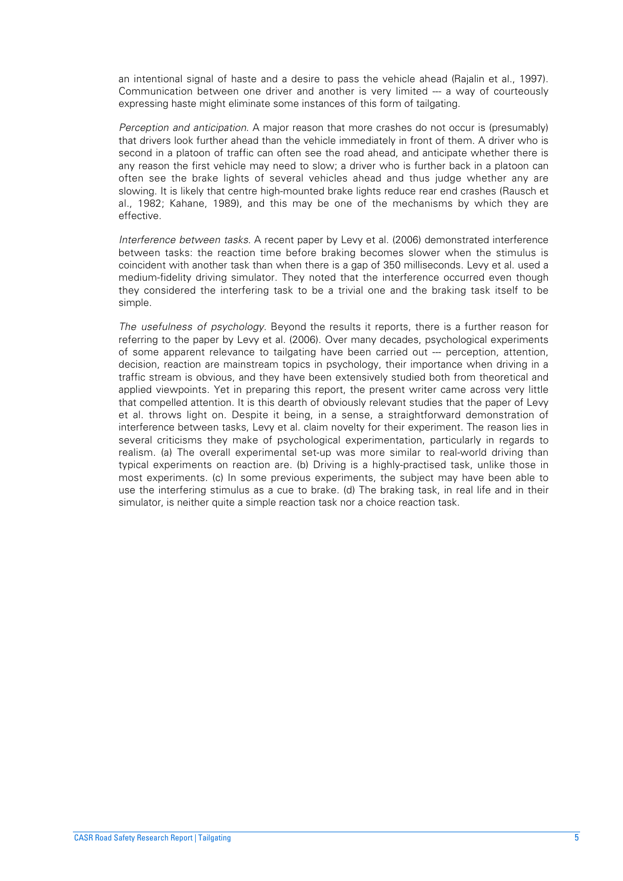an intentional signal of haste and a desire to pass the vehicle ahead (Rajalin et al., 1997). Communication between one driver and another is very limited --- a way of courteously expressing haste might eliminate some instances of this form of tailgating.

*Perception and anticipation*. A major reason that more crashes do not occur is (presumably) that drivers look further ahead than the vehicle immediately in front of them. A driver who is second in a platoon of traffic can often see the road ahead, and anticipate whether there is any reason the first vehicle may need to slow; a driver who is further back in a platoon can often see the brake lights of several vehicles ahead and thus judge whether any are slowing. It is likely that centre high-mounted brake lights reduce rear end crashes (Rausch et al., 1982; Kahane, 1989), and this may be one of the mechanisms by which they are effective.

*Interference between tasks*. A recent paper by Levy et al. (2006) demonstrated interference between tasks: the reaction time before braking becomes slower when the stimulus is coincident with another task than when there is a gap of 350 milliseconds. Levy et al. used a medium-fidelity driving simulator. They noted that the interference occurred even though they considered the interfering task to be a trivial one and the braking task itself to be simple.

*The usefulness of psychology*. Beyond the results it reports, there is a further reason for referring to the paper by Levy et al. (2006). Over many decades, psychological experiments of some apparent relevance to tailgating have been carried out --- perception, attention, decision, reaction are mainstream topics in psychology, their importance when driving in a traffic stream is obvious, and they have been extensively studied both from theoretical and applied viewpoints. Yet in preparing this report, the present writer came across very little that compelled attention. It is this dearth of obviously relevant studies that the paper of Levy et al. throws light on. Despite it being, in a sense, a straightforward demonstration of interference between tasks, Levy et al. claim novelty for their experiment. The reason lies in several criticisms they make of psychological experimentation, particularly in regards to realism. (a) The overall experimental set-up was more similar to real-world driving than typical experiments on reaction are. (b) Driving is a highly-practised task, unlike those in most experiments. (c) In some previous experiments, the subject may have been able to use the interfering stimulus as a cue to brake. (d) The braking task, in real life and in their simulator, is neither quite a simple reaction task nor a choice reaction task.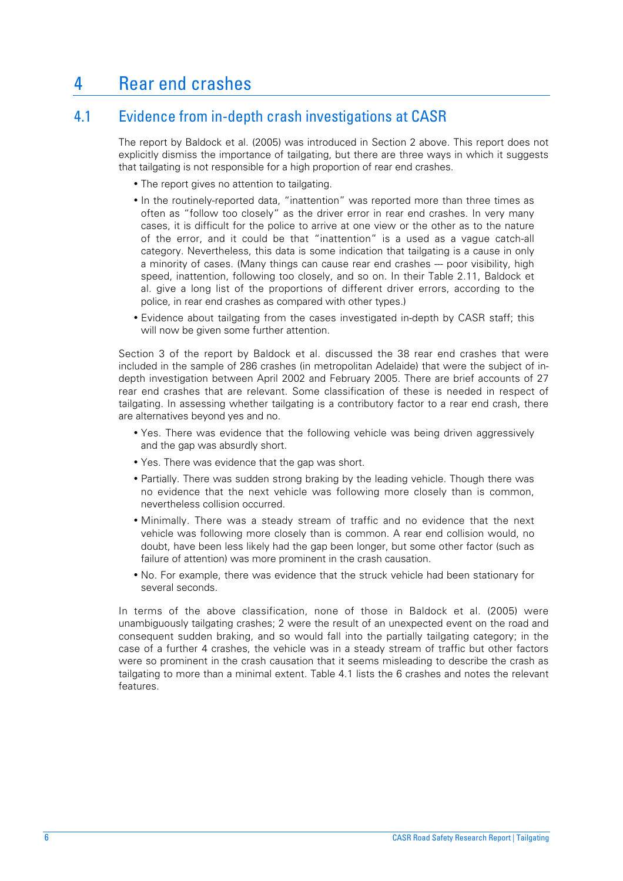# 4 Rear end crashes

## 4.1 Evidence from in-depth crash investigations at CASR

The report by Baldock et al. (2005) was introduced in Section 2 above. This report does not explicitly dismiss the importance of tailgating, but there are three ways in which it suggests that tailgating is not responsible for a high proportion of rear end crashes.

- The report gives no attention to tailgating.
- In the routinely-reported data, "inattention" was reported more than three times as often as "follow too closely" as the driver error in rear end crashes. In very many cases, it is difficult for the police to arrive at one view or the other as to the nature of the error, and it could be that "inattention" is a used as a vague catch-all category. Nevertheless, this data is some indication that tailgating is a cause in only a minority of cases. (Many things can cause rear end crashes --- poor visibility, high speed, inattention, following too closely, and so on. In their Table 2.11, Baldock et al. give a long list of the proportions of different driver errors, according to the police, in rear end crashes as compared with other types.)
- Evidence about tailgating from the cases investigated in-depth by CASR staff; this will now be given some further attention.

Section 3 of the report by Baldock et al. discussed the 38 rear end crashes that were included in the sample of 286 crashes (in metropolitan Adelaide) that were the subject of indepth investigation between April 2002 and February 2005. There are brief accounts of 27 rear end crashes that are relevant. Some classification of these is needed in respect of tailgating. In assessing whether tailgating is a contributory factor to a rear end crash, there are alternatives beyond yes and no.

- Yes. There was evidence that the following vehicle was being driven aggressively and the gap was absurdly short.
- Yes. There was evidence that the gap was short.
- Partially. There was sudden strong braking by the leading vehicle. Though there was no evidence that the next vehicle was following more closely than is common, nevertheless collision occurred.
- Minimally. There was a steady stream of traffic and no evidence that the next vehicle was following more closely than is common. A rear end collision would, no doubt, have been less likely had the gap been longer, but some other factor (such as failure of attention) was more prominent in the crash causation.
- No. For example, there was evidence that the struck vehicle had been stationary for several seconds.

In terms of the above classification, none of those in Baldock et al. (2005) were unambiguously tailgating crashes; 2 were the result of an unexpected event on the road and consequent sudden braking, and so would fall into the partially tailgating category; in the case of a further 4 crashes, the vehicle was in a steady stream of traffic but other factors were so prominent in the crash causation that it seems misleading to describe the crash as tailgating to more than a minimal extent. Table 4.1 lists the 6 crashes and notes the relevant features.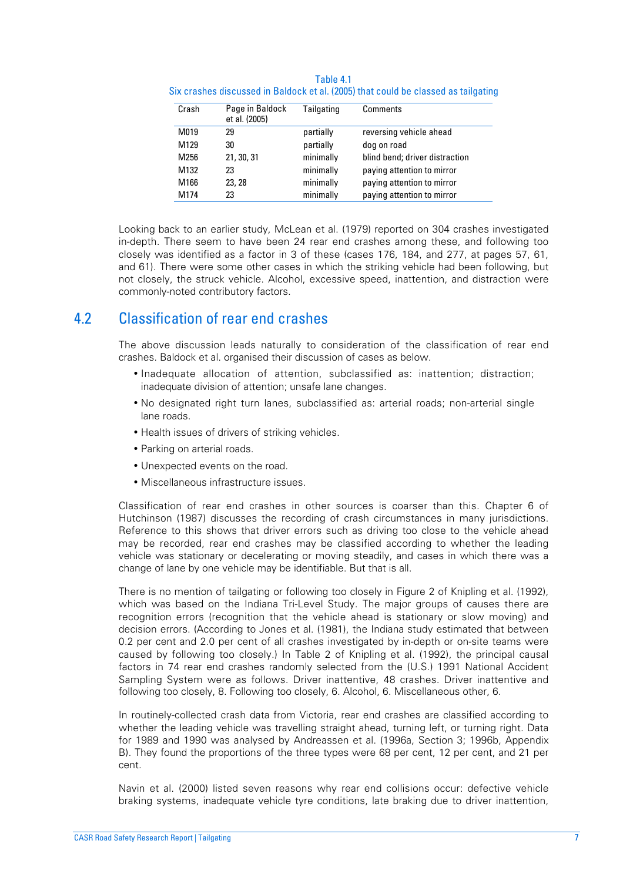| Crash | Page in Baldock<br>et al. (2005) | Tailgating | Comments                       |
|-------|----------------------------------|------------|--------------------------------|
| M019  | 29                               | partially  | reversing vehicle ahead        |
| M129  | 30                               | partially  | dog on road                    |
| M256  | 21, 30, 31                       | minimally  | blind bend; driver distraction |
| M132  | 23                               | minimally  | paying attention to mirror     |
| M166  | 23, 28                           | minimally  | paying attention to mirror     |
| M174  | 23                               | minimally  | paying attention to mirror     |

Table 4.1 Six crashes discussed in Baldock et al. (2005) that could be classed as tailgating

Looking back to an earlier study, McLean et al. (1979) reported on 304 crashes investigated in-depth. There seem to have been 24 rear end crashes among these, and following too closely was identified as a factor in 3 of these (cases 176, 184, and 277, at pages 57, 61, and 61). There were some other cases in which the striking vehicle had been following, but not closely, the struck vehicle. Alcohol, excessive speed, inattention, and distraction were commonly-noted contributory factors.

#### 4.2 Classification of rear end crashes

The above discussion leads naturally to consideration of the classification of rear end crashes. Baldock et al. organised their discussion of cases as below.

- Inadequate allocation of attention, subclassified as: inattention; distraction; inadequate division of attention; unsafe lane changes.
- No designated right turn lanes, subclassified as: arterial roads; non-arterial single lane roads.
- Health issues of drivers of striking vehicles.
- Parking on arterial roads.
- Unexpected events on the road.
- Miscellaneous infrastructure issues.

Classification of rear end crashes in other sources is coarser than this. Chapter 6 of Hutchinson (1987) discusses the recording of crash circumstances in many jurisdictions. Reference to this shows that driver errors such as driving too close to the vehicle ahead may be recorded, rear end crashes may be classified according to whether the leading vehicle was stationary or decelerating or moving steadily, and cases in which there was a change of lane by one vehicle may be identifiable. But that is all.

There is no mention of tailgating or following too closely in Figure 2 of Knipling et al. (1992), which was based on the Indiana Tri-Level Study. The major groups of causes there are recognition errors (recognition that the vehicle ahead is stationary or slow moving) and decision errors. (According to Jones et al. (1981), the Indiana study estimated that between 0.2 per cent and 2.0 per cent of all crashes investigated by in-depth or on-site teams were caused by following too closely.) In Table 2 of Knipling et al. (1992), the principal causal factors in 74 rear end crashes randomly selected from the (U.S.) 1991 National Accident Sampling System were as follows. Driver inattentive, 48 crashes. Driver inattentive and following too closely, 8. Following too closely, 6. Alcohol, 6. Miscellaneous other, 6.

In routinely-collected crash data from Victoria, rear end crashes are classified according to whether the leading vehicle was travelling straight ahead, turning left, or turning right. Data for 1989 and 1990 was analysed by Andreassen et al. (1996a, Section 3; 1996b, Appendix B). They found the proportions of the three types were 68 per cent, 12 per cent, and 21 per cent.

Navin et al. (2000) listed seven reasons why rear end collisions occur: defective vehicle braking systems, inadequate vehicle tyre conditions, late braking due to driver inattention,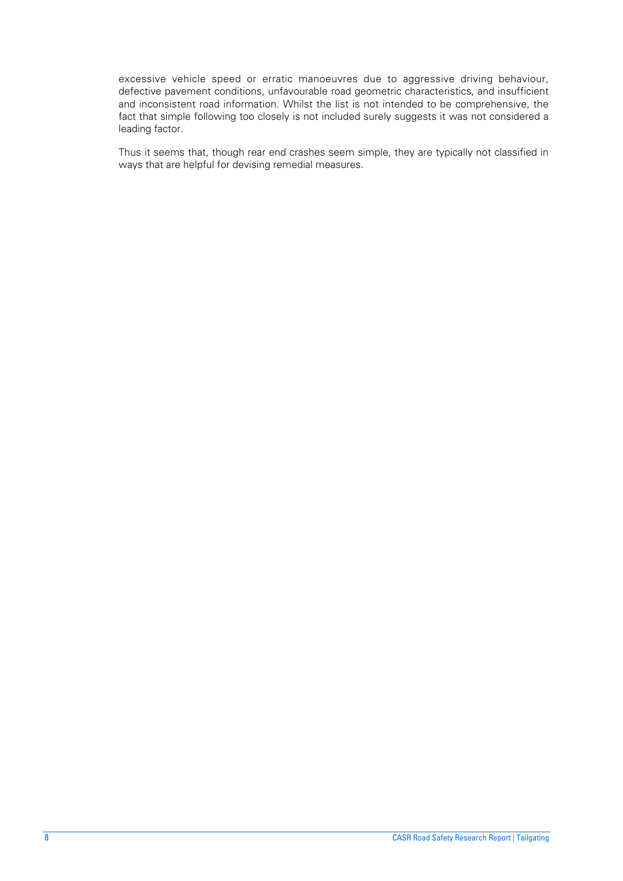excessive vehicle speed or erratic manoeuvres due to aggressive driving behaviour, defective pavement conditions, unfavourable road geometric characteristics, and insufficient and inconsistent road information. Whilst the list is not intended to be comprehensive, the fact that simple following too closely is not included surely suggests it was not considered a leading factor.

Thus it seems that, though rear end crashes seem simple, they are typically not classified in ways that are helpful for devising remedial measures.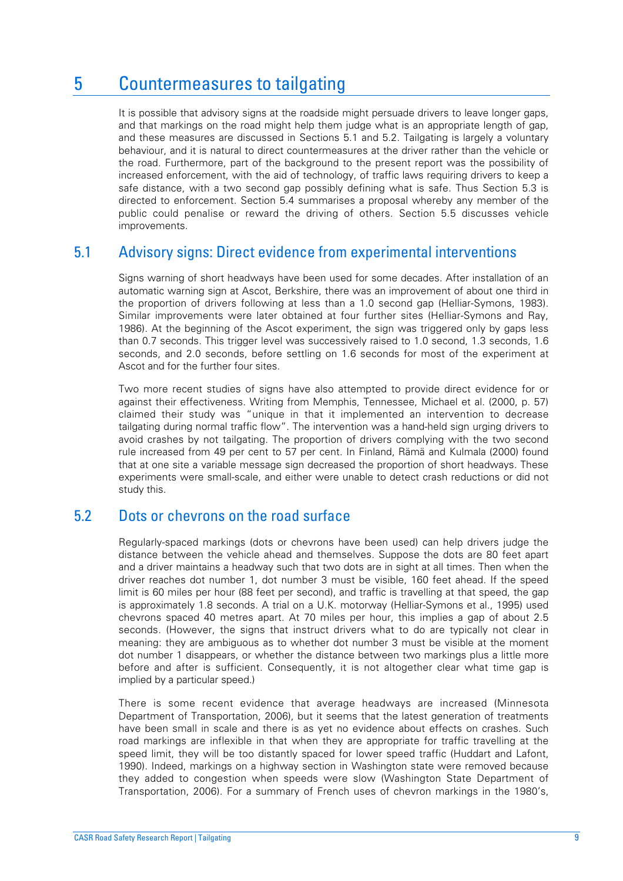# 5 Countermeasures to tailgating

It is possible that advisory signs at the roadside might persuade drivers to leave longer gaps, and that markings on the road might help them judge what is an appropriate length of gap, and these measures are discussed in Sections 5.1 and 5.2. Tailgating is largely a voluntary behaviour, and it is natural to direct countermeasures at the driver rather than the vehicle or the road. Furthermore, part of the background to the present report was the possibility of increased enforcement, with the aid of technology, of traffic laws requiring drivers to keep a safe distance, with a two second gap possibly defining what is safe. Thus Section 5.3 is directed to enforcement. Section 5.4 summarises a proposal whereby any member of the public could penalise or reward the driving of others. Section 5.5 discusses vehicle improvements.

#### 5.1 Advisory signs: Direct evidence from experimental interventions

Signs warning of short headways have been used for some decades. After installation of an automatic warning sign at Ascot, Berkshire, there was an improvement of about one third in the proportion of drivers following at less than a 1.0 second gap (Helliar-Symons, 1983). Similar improvements were later obtained at four further sites (Helliar-Symons and Ray, 1986). At the beginning of the Ascot experiment, the sign was triggered only by gaps less than 0.7 seconds. This trigger level was successively raised to 1.0 second, 1.3 seconds, 1.6 seconds, and 2.0 seconds, before settling on 1.6 seconds for most of the experiment at Ascot and for the further four sites.

Two more recent studies of signs have also attempted to provide direct evidence for or against their effectiveness. Writing from Memphis, Tennessee, Michael et al. (2000, p. 57) claimed their study was "unique in that it implemented an intervention to decrease tailgating during normal traffic flow". The intervention was a hand-held sign urging drivers to avoid crashes by not tailgating. The proportion of drivers complying with the two second rule increased from 49 per cent to 57 per cent. In Finland, Rämä and Kulmala (2000) found that at one site a variable message sign decreased the proportion of short headways. These experiments were small-scale, and either were unable to detect crash reductions or did not study this.

#### 5.2 Dots or chevrons on the road surface

Regularly-spaced markings (dots or chevrons have been used) can help drivers judge the distance between the vehicle ahead and themselves. Suppose the dots are 80 feet apart and a driver maintains a headway such that two dots are in sight at all times. Then when the driver reaches dot number 1, dot number 3 must be visible, 160 feet ahead. If the speed limit is 60 miles per hour (88 feet per second), and traffic is travelling at that speed, the gap is approximately 1.8 seconds. A trial on a U.K. motorway (Helliar-Symons et al., 1995) used chevrons spaced 40 metres apart. At 70 miles per hour, this implies a gap of about 2.5 seconds. (However, the signs that instruct drivers what to do are typically not clear in meaning: they are ambiguous as to whether dot number 3 must be visible at the moment dot number 1 disappears, or whether the distance between two markings plus a little more before and after is sufficient. Consequently, it is not altogether clear what time gap is implied by a particular speed.)

There is some recent evidence that average headways are increased (Minnesota Department of Transportation, 2006), but it seems that the latest generation of treatments have been small in scale and there is as yet no evidence about effects on crashes. Such road markings are inflexible in that when they are appropriate for traffic travelling at the speed limit, they will be too distantly spaced for lower speed traffic (Huddart and Lafont, 1990). Indeed, markings on a highway section in Washington state were removed because they added to congestion when speeds were slow (Washington State Department of Transportation, 2006). For a summary of French uses of chevron markings in the 1980's,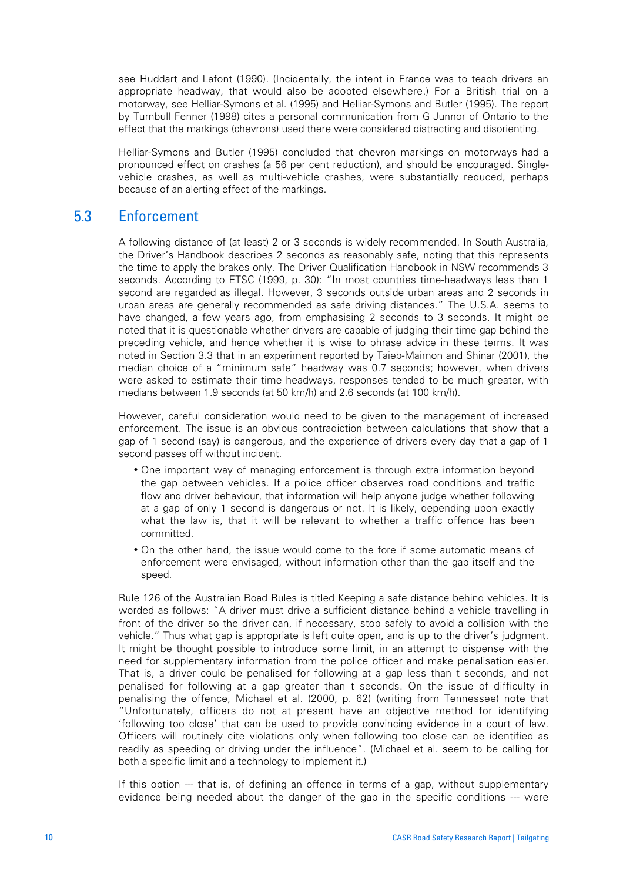see Huddart and Lafont (1990). (Incidentally, the intent in France was to teach drivers an appropriate headway, that would also be adopted elsewhere.) For a British trial on a motorway, see Helliar-Symons et al. (1995) and Helliar-Symons and Butler (1995). The report by Turnbull Fenner (1998) cites a personal communication from G Junnor of Ontario to the effect that the markings (chevrons) used there were considered distracting and disorienting.

Helliar-Symons and Butler (1995) concluded that chevron markings on motorways had a pronounced effect on crashes (a 56 per cent reduction), and should be encouraged. Singlevehicle crashes, as well as multi-vehicle crashes, were substantially reduced, perhaps because of an alerting effect of the markings.

#### 5.3 Enforcement

A following distance of (at least) 2 or 3 seconds is widely recommended. In South Australia, the Driver's Handbook describes 2 seconds as reasonably safe, noting that this represents the time to apply the brakes only. The Driver Qualification Handbook in NSW recommends 3 seconds. According to ETSC (1999, p. 30): "In most countries time-headways less than 1 second are regarded as illegal. However, 3 seconds outside urban areas and 2 seconds in urban areas are generally recommended as safe driving distances." The U.S.A. seems to have changed, a few years ago, from emphasising 2 seconds to 3 seconds. It might be noted that it is questionable whether drivers are capable of judging their time gap behind the preceding vehicle, and hence whether it is wise to phrase advice in these terms. It was noted in Section 3.3 that in an experiment reported by Taieb-Maimon and Shinar (2001), the median choice of a "minimum safe" headway was 0.7 seconds; however, when drivers were asked to estimate their time headways, responses tended to be much greater, with medians between 1.9 seconds (at 50 km/h) and 2.6 seconds (at 100 km/h).

However, careful consideration would need to be given to the management of increased enforcement. The issue is an obvious contradiction between calculations that show that a gap of 1 second (say) is dangerous, and the experience of drivers every day that a gap of 1 second passes off without incident.

- One important way of managing enforcement is through extra information beyond the gap between vehicles. If a police officer observes road conditions and traffic flow and driver behaviour, that information will help anyone judge whether following at a gap of only 1 second is dangerous or not. It is likely, depending upon exactly what the law is, that it will be relevant to whether a traffic offence has been committed.
- On the other hand, the issue would come to the fore if some automatic means of enforcement were envisaged, without information other than the gap itself and the speed.

Rule 126 of the Australian Road Rules is titled Keeping a safe distance behind vehicles. It is worded as follows: "A driver must drive a sufficient distance behind a vehicle travelling in front of the driver so the driver can, if necessary, stop safely to avoid a collision with the vehicle." Thus what gap is appropriate is left quite open, and is up to the driver's judgment. It might be thought possible to introduce some limit, in an attempt to dispense with the need for supplementary information from the police officer and make penalisation easier. That is, a driver could be penalised for following at a gap less than t seconds, and not penalised for following at a gap greater than t seconds. On the issue of difficulty in penalising the offence, Michael et al. (2000, p. 62) (writing from Tennessee) note that "Unfortunately, officers do not at present have an objective method for identifying 'following too close' that can be used to provide convincing evidence in a court of law. Officers will routinely cite violations only when following too close can be identified as readily as speeding or driving under the influence". (Michael et al. seem to be calling for both a specific limit and a technology to implement it.)

If this option --- that is, of defining an offence in terms of a gap, without supplementary evidence being needed about the danger of the gap in the specific conditions --- were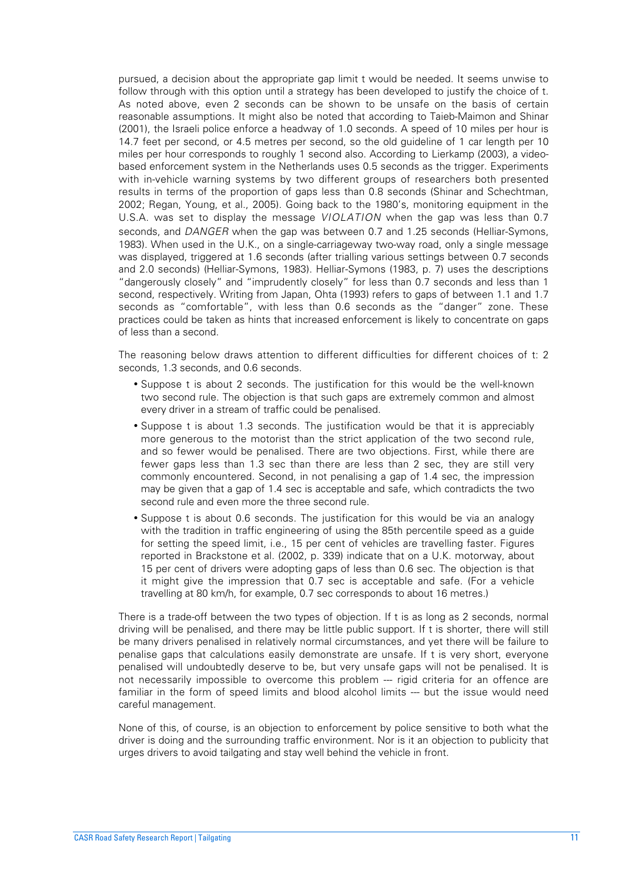pursued, a decision about the appropriate gap limit t would be needed. It seems unwise to follow through with this option until a strategy has been developed to justify the choice of t. As noted above, even 2 seconds can be shown to be unsafe on the basis of certain reasonable assumptions. It might also be noted that according to Taieb-Maimon and Shinar (2001), the Israeli police enforce a headway of 1.0 seconds. A speed of 10 miles per hour is 14.7 feet per second, or 4.5 metres per second, so the old guideline of 1 car length per 10 miles per hour corresponds to roughly 1 second also. According to Lierkamp (2003), a videobased enforcement system in the Netherlands uses 0.5 seconds as the trigger. Experiments with in-vehicle warning systems by two different groups of researchers both presented results in terms of the proportion of gaps less than 0.8 seconds (Shinar and Schechtman, 2002; Regan, Young, et al., 2005). Going back to the 1980's, monitoring equipment in the U.S.A. was set to display the message *VIOLATION* when the gap was less than 0.7 seconds, and *DANGER* when the gap was between 0.7 and 1.25 seconds (Helliar-Symons, 1983). When used in the U.K., on a single-carriageway two-way road, only a single message was displayed, triggered at 1.6 seconds (after trialling various settings between 0.7 seconds and 2.0 seconds) (Helliar-Symons, 1983). Helliar-Symons (1983, p. 7) uses the descriptions "dangerously closely" and "imprudently closely" for less than 0.7 seconds and less than 1 second, respectively. Writing from Japan, Ohta (1993) refers to gaps of between 1.1 and 1.7 seconds as "comfortable", with less than 0.6 seconds as the "danger" zone. These practices could be taken as hints that increased enforcement is likely to concentrate on gaps of less than a second.

The reasoning below draws attention to different difficulties for different choices of t: 2 seconds, 1.3 seconds, and 0.6 seconds.

- Suppose t is about 2 seconds. The justification for this would be the well-known two second rule. The objection is that such gaps are extremely common and almost every driver in a stream of traffic could be penalised.
- Suppose t is about 1.3 seconds. The justification would be that it is appreciably more generous to the motorist than the strict application of the two second rule, and so fewer would be penalised. There are two objections. First, while there are fewer gaps less than 1.3 sec than there are less than 2 sec, they are still very commonly encountered. Second, in not penalising a gap of 1.4 sec, the impression may be given that a gap of 1.4 sec is acceptable and safe, which contradicts the two second rule and even more the three second rule.
- Suppose t is about 0.6 seconds. The justification for this would be via an analogy with the tradition in traffic engineering of using the 85th percentile speed as a guide for setting the speed limit, i.e., 15 per cent of vehicles are travelling faster. Figures reported in Brackstone et al. (2002, p. 339) indicate that on a U.K. motorway, about 15 per cent of drivers were adopting gaps of less than 0.6 sec. The objection is that it might give the impression that 0.7 sec is acceptable and safe. (For a vehicle travelling at 80 km/h, for example, 0.7 sec corresponds to about 16 metres.)

There is a trade-off between the two types of objection. If t is as long as 2 seconds, normal driving will be penalised, and there may be little public support. If t is shorter, there will still be many drivers penalised in relatively normal circumstances, and yet there will be failure to penalise gaps that calculations easily demonstrate are unsafe. If t is very short, everyone penalised will undoubtedly deserve to be, but very unsafe gaps will not be penalised. It is not necessarily impossible to overcome this problem --- rigid criteria for an offence are familiar in the form of speed limits and blood alcohol limits --- but the issue would need careful management.

None of this, of course, is an objection to enforcement by police sensitive to both what the driver is doing and the surrounding traffic environment. Nor is it an objection to publicity that urges drivers to avoid tailgating and stay well behind the vehicle in front.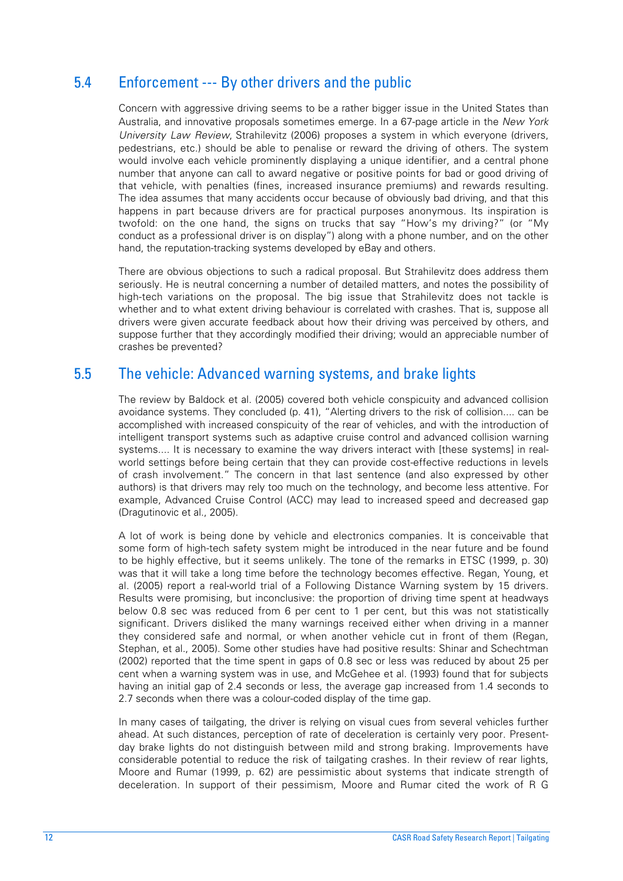## 5.4 Enforcement --- By other drivers and the public

Concern with aggressive driving seems to be a rather bigger issue in the United States than Australia, and innovative proposals sometimes emerge. In a 67-page article in the *New York University Law Review*, Strahilevitz (2006) proposes a system in which everyone (drivers, pedestrians, etc.) should be able to penalise or reward the driving of others. The system would involve each vehicle prominently displaying a unique identifier, and a central phone number that anyone can call to award negative or positive points for bad or good driving of that vehicle, with penalties (fines, increased insurance premiums) and rewards resulting. The idea assumes that many accidents occur because of obviously bad driving, and that this happens in part because drivers are for practical purposes anonymous. Its inspiration is twofold: on the one hand, the signs on trucks that say "How's my driving?" (or "My conduct as a professional driver is on display") along with a phone number, and on the other hand, the reputation-tracking systems developed by eBay and others.

There are obvious objections to such a radical proposal. But Strahilevitz does address them seriously. He is neutral concerning a number of detailed matters, and notes the possibility of high-tech variations on the proposal. The big issue that Strahilevitz does not tackle is whether and to what extent driving behaviour is correlated with crashes. That is, suppose all drivers were given accurate feedback about how their driving was perceived by others, and suppose further that they accordingly modified their driving; would an appreciable number of crashes be prevented?

#### 5.5 The vehicle: Advanced warning systems, and brake lights

The review by Baldock et al. (2005) covered both vehicle conspicuity and advanced collision avoidance systems. They concluded (p. 41), "Alerting drivers to the risk of collision.... can be accomplished with increased conspicuity of the rear of vehicles, and with the introduction of intelligent transport systems such as adaptive cruise control and advanced collision warning systems.... It is necessary to examine the way drivers interact with [these systems] in realworld settings before being certain that they can provide cost-effective reductions in levels of crash involvement." The concern in that last sentence (and also expressed by other authors) is that drivers may rely too much on the technology, and become less attentive. For example, Advanced Cruise Control (ACC) may lead to increased speed and decreased gap (Dragutinovic et al., 2005).

A lot of work is being done by vehicle and electronics companies. It is conceivable that some form of high-tech safety system might be introduced in the near future and be found to be highly effective, but it seems unlikely. The tone of the remarks in ETSC (1999, p. 30) was that it will take a long time before the technology becomes effective. Regan, Young, et al. (2005) report a real-world trial of a Following Distance Warning system by 15 drivers. Results were promising, but inconclusive: the proportion of driving time spent at headways below 0.8 sec was reduced from 6 per cent to 1 per cent, but this was not statistically significant. Drivers disliked the many warnings received either when driving in a manner they considered safe and normal, or when another vehicle cut in front of them (Regan, Stephan, et al., 2005). Some other studies have had positive results: Shinar and Schechtman (2002) reported that the time spent in gaps of 0.8 sec or less was reduced by about 25 per cent when a warning system was in use, and McGehee et al. (1993) found that for subjects having an initial gap of 2.4 seconds or less, the average gap increased from 1.4 seconds to 2.7 seconds when there was a colour-coded display of the time gap.

In many cases of tailgating, the driver is relying on visual cues from several vehicles further ahead. At such distances, perception of rate of deceleration is certainly very poor. Presentday brake lights do not distinguish between mild and strong braking. Improvements have considerable potential to reduce the risk of tailgating crashes. In their review of rear lights, Moore and Rumar (1999, p. 62) are pessimistic about systems that indicate strength of deceleration. In support of their pessimism, Moore and Rumar cited the work of R G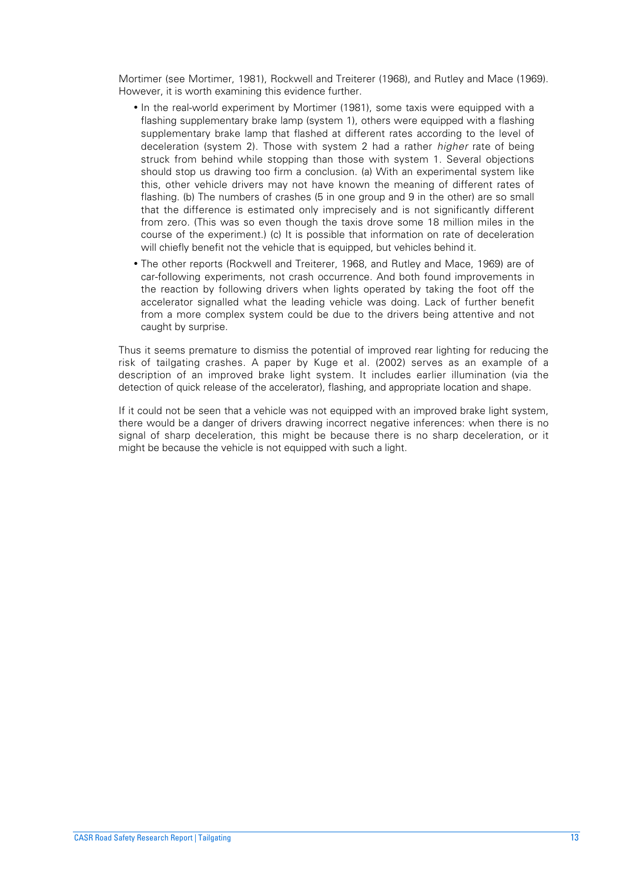Mortimer (see Mortimer, 1981), Rockwell and Treiterer (1968), and Rutley and Mace (1969). However, it is worth examining this evidence further.

- In the real-world experiment by Mortimer (1981), some taxis were equipped with a flashing supplementary brake lamp (system 1), others were equipped with a flashing supplementary brake lamp that flashed at different rates according to the level of deceleration (system 2). Those with system 2 had a rather *higher* rate of being struck from behind while stopping than those with system 1. Several objections should stop us drawing too firm a conclusion. (a) With an experimental system like this, other vehicle drivers may not have known the meaning of different rates of flashing. (b) The numbers of crashes (5 in one group and 9 in the other) are so small that the difference is estimated only imprecisely and is not significantly different from zero. (This was so even though the taxis drove some 18 million miles in the course of the experiment.) (c) It is possible that information on rate of deceleration will chiefly benefit not the vehicle that is equipped, but vehicles behind it.
- The other reports (Rockwell and Treiterer, 1968, and Rutley and Mace, 1969) are of car-following experiments, not crash occurrence. And both found improvements in the reaction by following drivers when lights operated by taking the foot off the accelerator signalled what the leading vehicle was doing. Lack of further benefit from a more complex system could be due to the drivers being attentive and not caught by surprise.

Thus it seems premature to dismiss the potential of improved rear lighting for reducing the risk of tailgating crashes. A paper by Kuge et al. (2002) serves as an example of a description of an improved brake light system. It includes earlier illumination (via the detection of quick release of the accelerator), flashing, and appropriate location and shape.

If it could not be seen that a vehicle was not equipped with an improved brake light system, there would be a danger of drivers drawing incorrect negative inferences: when there is no signal of sharp deceleration, this might be because there is no sharp deceleration, or it might be because the vehicle is not equipped with such a light.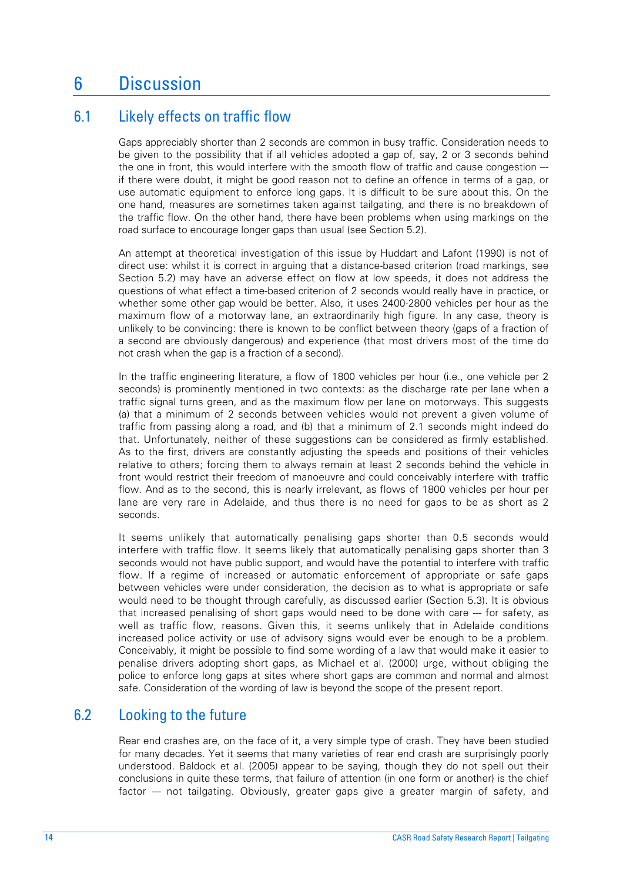# 6 Discussion

## 6.1 Likely effects on traffic flow

Gaps appreciably shorter than 2 seconds are common in busy traffic. Consideration needs to be given to the possibility that if all vehicles adopted a gap of, say, 2 or 3 seconds behind the one in front, this would interfere with the smooth flow of traffic and cause congestion -- if there were doubt, it might be good reason not to define an offence in terms of a gap, or use automatic equipment to enforce long gaps. It is difficult to be sure about this. On the one hand, measures are sometimes taken against tailgating, and there is no breakdown of the traffic flow. On the other hand, there have been problems when using markings on the road surface to encourage longer gaps than usual (see Section 5.2).

An attempt at theoretical investigation of this issue by Huddart and Lafont (1990) is not of direct use: whilst it is correct in arguing that a distance-based criterion (road markings, see Section 5.2) may have an adverse effect on flow at low speeds, it does not address the questions of what effect a time-based criterion of 2 seconds would really have in practice, or whether some other gap would be better. Also, it uses 2400-2800 vehicles per hour as the maximum flow of a motorway lane, an extraordinarily high figure. In any case, theory is unlikely to be convincing: there is known to be conflict between theory (gaps of a fraction of a second are obviously dangerous) and experience (that most drivers most of the time do not crash when the gap is a fraction of a second).

In the traffic engineering literature, a flow of 1800 vehicles per hour (i.e., one vehicle per 2 seconds) is prominently mentioned in two contexts: as the discharge rate per lane when a traffic signal turns green, and as the maximum flow per lane on motorways. This suggests (a) that a minimum of 2 seconds between vehicles would not prevent a given volume of traffic from passing along a road, and (b) that a minimum of 2.1 seconds might indeed do that. Unfortunately, neither of these suggestions can be considered as firmly established. As to the first, drivers are constantly adjusting the speeds and positions of their vehicles relative to others; forcing them to always remain at least 2 seconds behind the vehicle in front would restrict their freedom of manoeuvre and could conceivably interfere with traffic flow. And as to the second, this is nearly irrelevant, as flows of 1800 vehicles per hour per lane are very rare in Adelaide, and thus there is no need for gaps to be as short as 2 seconds.

It seems unlikely that automatically penalising gaps shorter than 0.5 seconds would interfere with traffic flow. It seems likely that automatically penalising gaps shorter than 3 seconds would not have public support, and would have the potential to interfere with traffic flow. If a regime of increased or automatic enforcement of appropriate or safe gaps between vehicles were under consideration, the decision as to what is appropriate or safe would need to be thought through carefully, as discussed earlier (Section 5.3). It is obvious that increased penalising of short gaps would need to be done with care --- for safety, as well as traffic flow, reasons. Given this, it seems unlikely that in Adelaide conditions increased police activity or use of advisory signs would ever be enough to be a problem. Conceivably, it might be possible to find some wording of a law that would make it easier to penalise drivers adopting short gaps, as Michael et al. (2000) urge, without obliging the police to enforce long gaps at sites where short gaps are common and normal and almost safe. Consideration of the wording of law is beyond the scope of the present report.

## 6.2 Looking to the future

Rear end crashes are, on the face of it, a very simple type of crash. They have been studied for many decades. Yet it seems that many varieties of rear end crash are surprisingly poorly understood. Baldock et al. (2005) appear to be saying, though they do not spell out their conclusions in quite these terms, that failure of attention (in one form or another) is the chief factor --- not tailgating. Obviously, greater gaps give a greater margin of safety, and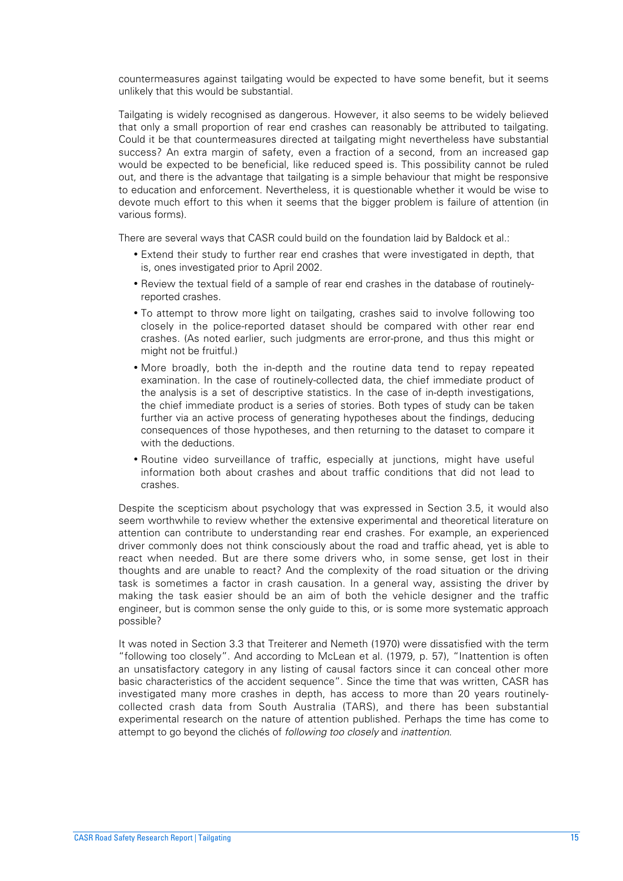countermeasures against tailgating would be expected to have some benefit, but it seems unlikely that this would be substantial.

Tailgating is widely recognised as dangerous. However, it also seems to be widely believed that only a small proportion of rear end crashes can reasonably be attributed to tailgating. Could it be that countermeasures directed at tailgating might nevertheless have substantial success? An extra margin of safety, even a fraction of a second, from an increased gap would be expected to be beneficial, like reduced speed is. This possibility cannot be ruled out, and there is the advantage that tailgating is a simple behaviour that might be responsive to education and enforcement. Nevertheless, it is questionable whether it would be wise to devote much effort to this when it seems that the bigger problem is failure of attention (in various forms).

There are several ways that CASR could build on the foundation laid by Baldock et al.:

- Extend their study to further rear end crashes that were investigated in depth, that is, ones investigated prior to April 2002.
- Review the textual field of a sample of rear end crashes in the database of routinelyreported crashes.
- To attempt to throw more light on tailgating, crashes said to involve following too closely in the police-reported dataset should be compared with other rear end crashes. (As noted earlier, such judgments are error-prone, and thus this might or might not be fruitful.)
- More broadly, both the in-depth and the routine data tend to repay repeated examination. In the case of routinely-collected data, the chief immediate product of the analysis is a set of descriptive statistics. In the case of in-depth investigations, the chief immediate product is a series of stories. Both types of study can be taken further via an active process of generating hypotheses about the findings, deducing consequences of those hypotheses, and then returning to the dataset to compare it with the deductions.
- Routine video surveillance of traffic, especially at junctions, might have useful information both about crashes and about traffic conditions that did not lead to crashes.

Despite the scepticism about psychology that was expressed in Section 3.5, it would also seem worthwhile to review whether the extensive experimental and theoretical literature on attention can contribute to understanding rear end crashes. For example, an experienced driver commonly does not think consciously about the road and traffic ahead, yet is able to react when needed. But are there some drivers who, in some sense, get lost in their thoughts and are unable to react? And the complexity of the road situation or the driving task is sometimes a factor in crash causation. In a general way, assisting the driver by making the task easier should be an aim of both the vehicle designer and the traffic engineer, but is common sense the only guide to this, or is some more systematic approach possible?

It was noted in Section 3.3 that Treiterer and Nemeth (1970) were dissatisfied with the term "following too closely". And according to McLean et al. (1979, p. 57), "Inattention is often an unsatisfactory category in any listing of causal factors since it can conceal other more basic characteristics of the accident sequence". Since the time that was written, CASR has investigated many more crashes in depth, has access to more than 20 years routinelycollected crash data from South Australia (TARS), and there has been substantial experimental research on the nature of attention published. Perhaps the time has come to attempt to go beyond the clichés of *following too closely* and *inattention*.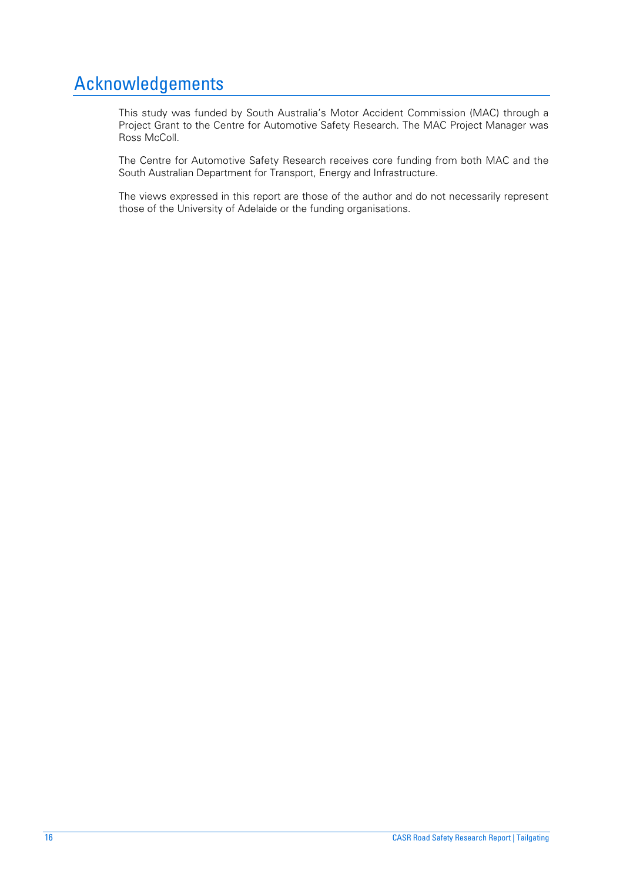# Acknowledgements

This study was funded by South Australia's Motor Accident Commission (MAC) through a Project Grant to the Centre for Automotive Safety Research. The MAC Project Manager was Ross McColl.

The Centre for Automotive Safety Research receives core funding from both MAC and the South Australian Department for Transport, Energy and Infrastructure.

The views expressed in this report are those of the author and do not necessarily represent those of the University of Adelaide or the funding organisations.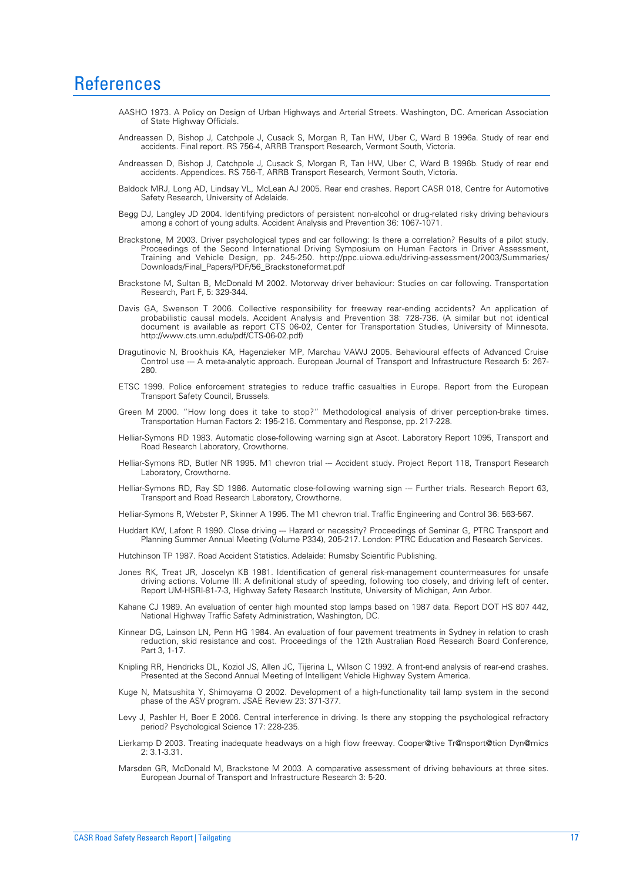## **References**

- AASHO 1973. A Policy on Design of Urban Highways and Arterial Streets. Washington, DC. American Association of State Highway Officials.
- Andreassen D, Bishop J, Catchpole J, Cusack S, Morgan R, Tan HW, Uber C, Ward B 1996a. Study of rear end accidents. Final report. RS 756-4, ARRB Transport Research, Vermont South, Victoria.
- Andreassen D, Bishop J, Catchpole J, Cusack S, Morgan R, Tan HW, Uber C, Ward B 1996b. Study of rear end accidents. Appendices. RS 756-T, ARRB Transport Research, Vermont South, Victoria.
- Baldock MRJ, Long AD, Lindsay VL, McLean AJ 2005. Rear end crashes. Report CASR 018, Centre for Automotive Safety Research, University of Adelaide.
- Begg DJ, Langley JD 2004. Identifying predictors of persistent non-alcohol or drug-related risky driving behaviours among a cohort of young adults. Accident Analysis and Prevention 36: 1067-1071.
- Brackstone, M 2003. Driver psychological types and car following: Is there a correlation? Results of a pilot study. Proceedings of the Second International Driving Symposium on Human Factors in Driver Assessment, Training and Vehicle Design, pp. 245-250. http://ppc.uiowa.edu/driving-assessment/2003/Summaries/ Downloads/Final\_Papers/PDF/56\_Brackstoneformat.pdf
- Brackstone M, Sultan B, McDonald M 2002. Motorway driver behaviour: Studies on car following. Transportation Research, Part F, 5: 329-344.
- Davis GA, Swenson T 2006. Collective responsibility for freeway rear-ending accidents? An application of probabilistic causal models. Accident Analysis and Prevention 38: 728-736. (A similar but not identical document is available as report CTS 06-02, Center for Transportation Studies, University of Minnesota. http://www.cts.umn.edu/pdf/CTS-06-02.pdf)
- Dragutinovic N, Brookhuis KA, Hagenzieker MP, Marchau VAWJ 2005. Behavioural effects of Advanced Cruise Control use --- A meta-analytic approach. European Journal of Transport and Infrastructure Research 5: 267-280.
- ETSC 1999. Police enforcement strategies to reduce traffic casualties in Europe. Report from the European Transport Safety Council, Brussels.
- Green M 2000. "How long does it take to stop?" Methodological analysis of driver perception-brake times. Transportation Human Factors 2: 195-216. Commentary and Response, pp. 217-228.
- Helliar-Symons RD 1983. Automatic close-following warning sign at Ascot. Laboratory Report 1095, Transport and Road Research Laboratory, Crowthorne.
- Helliar-Symons RD, Butler NR 1995. M1 chevron trial --- Accident study. Project Report 118, Transport Research Laboratory, Crowthorne.
- Helliar-Symons RD, Ray SD 1986. Automatic close-following warning sign --- Further trials. Research Report 63, Transport and Road Research Laboratory, Crowthorne.
- Helliar-Symons R, Webster P, Skinner A 1995. The M1 chevron trial. Traffic Engineering and Control 36: 563-567.
- Huddart KW, Lafont R 1990. Close driving --- Hazard or necessity? Proceedings of Seminar G, PTRC Transport and Planning Summer Annual Meeting (Volume P334), 205-217. London: PTRC Education and Research Services.
- Hutchinson TP 1987. Road Accident Statistics. Adelaide: Rumsby Scientific Publishing.
- Jones RK, Treat JR, Joscelyn KB 1981. Identification of general risk-management countermeasures for unsafe driving actions. Volume III: A definitional study of speeding, following too closely, and driving left of center. Report UM-HSRI-81-7-3, Highway Safety Research Institute, University of Michigan, Ann Arbor.
- Kahane CJ 1989. An evaluation of center high mounted stop lamps based on 1987 data. Report DOT HS 807 442, National Highway Traffic Safety Administration, Washington, DC.
- Kinnear DG, Lainson LN, Penn HG 1984. An evaluation of four pavement treatments in Sydney in relation to crash reduction, skid resistance and cost. Proceedings of the 12th Australian Road Research Board Conference, Part 3, 1-17.
- Knipling RR, Hendricks DL, Koziol JS, Allen JC, Tijerina L, Wilson C 1992. A front-end analysis of rear-end crashes. Presented at the Second Annual Meeting of Intelligent Vehicle Highway System America.
- Kuge N, Matsushita Y, Shimoyama O 2002. Development of a high-functionality tail lamp system in the second phase of the ASV program. JSAE Review 23: 371-377.
- Levy J, Pashler H, Boer E 2006. Central interference in driving. Is there any stopping the psychological refractory period? Psychological Science 17: 228-235.
- Lierkamp D 2003. Treating inadequate headways on a high flow freeway. Cooper@tive Tr@nsport@tion Dyn@mics  $2: 3.1 - 3.31$
- Marsden GR, McDonald M, Brackstone M 2003. A comparative assessment of driving behaviours at three sites. European Journal of Transport and Infrastructure Research 3: 5-20.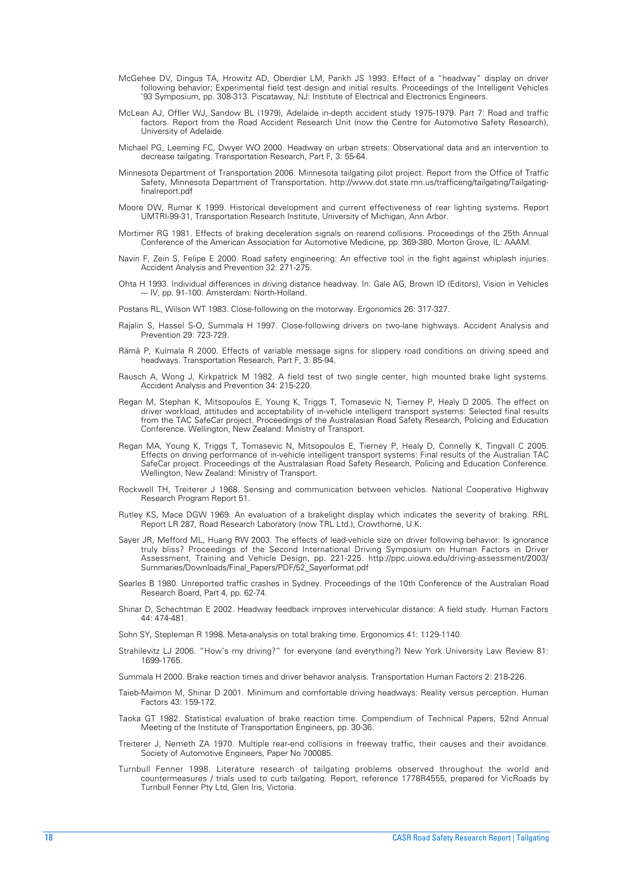- McGehee DV, Dingus TA, Hrowitz AD, Oberdier LM, Parikh JS 1993. Effect of a "headway" display on driver following behavior; Experimental field test design and initial results. Proceedings of the Intelligent Vehicles '93 Symposium, pp. 308-313. Piscataway, NJ: Institute of Electrical and Electronics Engineers.
- McLean AJ, Offler WJ, Sandow BL (1979), Adelaide in-depth accident study 1975-1979. Part 7: Road and traffic factors. Report from the Road Accident Research Unit (now the Centre for Automotive Safety Research), University of Adelaide.
- Michael PG, Leeming FC, Dwyer WO 2000. Headway on urban streets: Observational data and an intervention to decrease tailgating. Transportation Research, Part F, 3: 55-64.
- Minnesota Department of Transportation 2006. Minnesota tailgating pilot project. Report from the Office of Traffic Safety, Minnesota Department of Transportation. http://www.dot.state.mn.us/trafficeng/tailgating/Tailgatingfinalreport.pdf
- Moore DW, Rumar K 1999. Historical development and current effectiveness of rear lighting systems. Report UMTRI-99-31, Transportation Research Institute, University of Michigan, Ann Arbor.
- Mortimer RG 1981. Effects of braking deceleration signals on rearend collisions. Proceedings of the 25th Annual Conference of the American Association for Automotive Medicine, pp. 369-380. Morton Grove, IL: AAAM.
- Navin F, Zein S, Felipe E 2000. Road safety engineering: An effective tool in the fight against whiplash injuries. Accident Analysis and Prevention 32: 271-275.
- Ohta H 1993. Individual differences in driving distance headway. In: Gale AG, Brown ID (Editors), Vision in Vehicles -- IV, pp. 91-100. Amsterdam: North-Holland.
- Postans RL, Wilson WT 1983. Close-following on the motorway. Ergonomics 26: 317-327.
- Rajalin S, Hassel S-O, Summala H 1997. Close-following drivers on two-lane highways. Accident Analysis and Prevention 29: 723-729.
- Rämä P, Kulmala R 2000. Effects of variable message signs for slippery road conditions on driving speed and headways. Transportation Research, Part F, 3: 85-94.
- Rausch A, Wong J, Kirkpatrick M 1982. A field test of two single center, high mounted brake light systems. Accident Analysis and Prevention 34: 215-220.
- Regan M, Stephan K, Mitsopoulos E, Young K, Triggs T, Tomasevic N, Tierney P, Healy D 2005. The effect on driver workload, attitudes and acceptability of in-vehicle intelligent transport systems: Selected final results from the TAC SafeCar project. Proceedings of the Australasian Road Safety Research, Policing and Education Conference. Wellington, New Zealand: Ministry of Transport.
- Regan MA, Young K, Triggs T, Tomasevic N, Mitsopoulos E, Tierney P, Healy D, Connelly K, Tingvall C 2005. Effects on driving performance of in-vehicle intelligent transport systems: Final results of the Australian TAC SafeCar project. Proceedings of the Australasian Road Safety Research, Policing and Education Conference. Wellington, New Zealand: Ministry of Transport.
- Rockwell TH, Treiterer J 1968. Sensing and communication between vehicles. National Cooperative Highway Research Program Report 51.
- Rutley KS, Mace DGW 1969. An evaluation of a brakelight display which indicates the severity of braking. RRL Report LR 287, Road Research Laboratory (now TRL Ltd.), Crowthorne, U.K.
- Sayer JR, Mefford ML, Huang RW 2003. The effects of lead-vehicle size on driver following behavior: Is ignorance truly bliss? Proceedings of the Second International Driving Symposium on Human Factors in Driver Assessment, Training and Vehicle Design, pp. 221-225. http://ppc.uiowa.edu/driving-assessment/2003/ Summaries/Downloads/Final\_Papers/PDF/52\_Sayerformat.pdf
- Searles B 1980. Unreported traffic crashes in Sydney. Proceedings of the 10th Conference of the Australian Road Research Board, Part 4, pp. 62-74.
- Shinar D, Schechtman E 2002. Headway feedback improves intervehicular distance: A field study. Human Factors 44: 474-481.
- Sohn SY, Stepleman R 1998. Meta-analysis on total braking time. Ergonomics 41: 1129-1140.
- Strahilevitz LJ 2006. "How's my driving?" for everyone (and everything?) New York University Law Review 81: 1699-1765.
- Summala H 2000. Brake reaction times and driver behavior analysis. Transportation Human Factors 2: 218-226.
- Taieb-Maimon M, Shinar D 2001. Minimum and comfortable driving headways: Reality versus perception. Human Factors 43: 159-172.
- Taoka GT 1982. Statistical evaluation of brake reaction time. Compendium of Technical Papers, 52nd Annual Meeting of the Institute of Transportation Engineers, pp. 30-36.
- Treiterer J, Nemeth ZA 1970. Multiple rear-end collisions in freeway traffic, their causes and their avoidance. Society of Automotive Engineers, Paper No 700085.
- Turnbull Fenner 1998. Literature research of tailgating problems observed throughout the world and countermeasures / trials used to curb tailgating. Report, reference 1778R4555, prepared for VicRoads by Turnbull Fenner Pty Ltd, Glen Iris, Victoria.